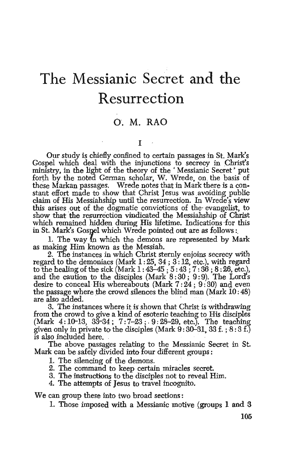# **The Messianic Secret and the Resurrection**

## 0. M. RAO

### I

Our study is chiefly confined to certain passages in St. Mark's Gospel which deal with the injunctions to secrecy in Christ's ministry, in the light of the theory of the ' Messianic Secret' put forth by the noted German scholar, W. Wrede, on the basis of these Markan passages. Wrede notes that in Mark there is a constant effort made to show that Christ Jesus was avoiding public claim of His Messiahship until the resurrection. In Wrede's view this arises out of the dogmatic convictions of the evangelist, to show that the resurrection vindicated the Messiahship of Christ which remained hidden during His lifetime. Indications ·for this in St. Mark's Gospel which Wrede pointed out are as follows:

1. The way in which the demons are represented by Mark as malting Him known as the Messiah.

2. The instances in which Christ sternly enjoins secrecy with regard to the demoniacs (Mark 1:25, 34; 3: 12, etc.), with regard to the healing of the sick *(Mark* 1 : 43-45 ; 5 : 43 ; 7 : 36 ; 8 : 26, *etc.),*  and the caution to the disciples  $(Mark 8:30; 9:9)$ . The Lord's desire to conceal His whereabouts (Mark  $7:24:9:30$ ) and even the passage where the crowd silences the blind man  $(Mark 10: 48)$ are also added.

3. The instances where it is shown that Christ is withdrawing from the crowd to give a kind of esoteric teaching to His disciples (Mark 4: 1D-13, 33-34; 7:7-23;. 9:28-29, etc.). The teaching given only in private to the disciples (Mark  $9:30-31$ ,  $33 f.$ ;  $8:3 f.$ ) is also included here.

The above passages relating to the Messianic Secret in St. Mark can be safely divided into four different groups :

- 1. The silencing of the demons.
- 2. The command to keep certain miracles secret.

3. The instructions to the disciples not to reveal Him. 4. The attempts of Jesus to travel incognito.

We can group these into two broad sections :

1. Those imposed with a Messianic motive (groups 1 and 3

105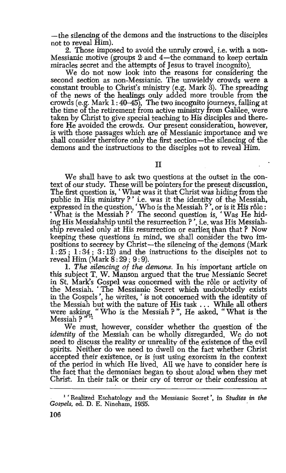-the silencing of the demons and the instructions to the disciples not to reveal Him).

2. Those imposed to avoid the unruly crowd, i.e. with a non-Messianic motive (groups 2 and 4-the command to keep certain miracles secret and the attempts of Jesus to travel incognito).

We do not now look into the reasons for considering the second section as non-Messianic. The unwieldy crowds were a constant trouble to Christ's ministry (e.g. Mark 3). The spreading of the news of the healings only added more trouble from the crowds (e.g. Mark 1:40-45), The two incognito journeys, falling at the time of the retirement from active ministry from Galilee, were taken by Christ to give special teaching to His disciples and therefore He avoided the crowds. Our present consideration, however, is with those passages which are of Messianic importance and we shall consider therefore only the first section-the silencing of the demons and the instructions to the disciples not to reveal Him.

II

We shall have to ask two questions at the outset in the context of our study. These will be pointers for the present discussion, The first question is, ' What was it that Christ was hiding from the public in His ministry ? ' i.e. was it the identity of the Messiah, expressed in the question, ' Who is the Messiah  $?$ ', or is it His rôle : 'What is the Messiah ?' The second question is, 'Was He hiding His Messiahship until the resurrection?', i.e. was His Messiahship revealed only at His resurrection or earlier than that? Now keeping these questions in mind, we shall consider the two impositions to secrecy by Christ-the silencing of the demons (Mark 1:25; 1:34; 3:12) and the instructions to the disciples not to reveal Him (Mark 8: 29; 9: 9).

1. *The silencing of the demons.* In his important article on this subject T. W. Manson argued that the true Messianic Secret in St. Mark's Gospel was concerned with the r6le or activity of the Messiah. ' The Messianic Secret which undoubtedly exists in the Gospels', he Writes,' is not concerned with the identity of the Messiah but with the nature of His task . . . While all others were asking, " Who is the Messiah ? ", He asked, " What is the  $\mathbf{M}\mathbf{e}\mathbf{s}\mathbf{i}\mathbf{a}\mathbf{h}$  ?  $\mathbf{M}$  and  $\mathbf{M}$  is a set of  $\mathbf{M}$  is a set of  $\mathbf{M}$  is a set of  $\mathbf{M}$ 

We must, however, consider whether the question of the *identity* of the Messiah can be wholly disregarded. We do not need to discuss the reality or unreality of the existence of the evil spirits. Neither do we need to dwell on the fact whether Christ accepted their existence, or is just using exorcism in the context of the period in which He lived. All we have to consider here is the fact that the demoniacs began to shout aloud when they met Christ. In their talk or their cry of terror or their confession at

<sup>&</sup>lt;sup>1</sup> 'Realized Eschatology and the Messianic Secret', in *Studies in the Gospels,* ed. D. E. Nineham, 1955.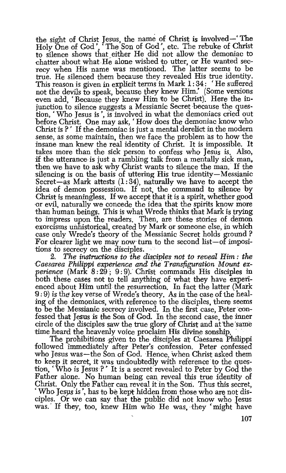the sight of Christ Jesus, the name of Christ is involved-' The Holy One of God', 'The Son of God', etc. The rebuke of Christ to silence shows that either He did not allow the demoniac to chatter about what.He alone wished to utter, or He wanted secrecy when His name was mentioned. The latter seems to be true. He silenced them because they revealed His true identity. This reason is given in explicit terms in Mark 1:34: 'He suffered not the devils to speak, because they knew Him.' (Some versions even add, ' Because they knew Him to be Christ). Here the injunction to silence suggests a Messianic Secret because the question, ' Who Jesus is ', is involved in what the demoniacs cried out before Christ. One may ask, 'How does the demoniac know who Christ is  $?$  If the demoniac is just a mental derelict in the modern sense, as some maintain, then we face the problem as to how the insane man knew the real identity of Christ. It is impossible. It takes more than the sick person to confess who Jesus is. AlSo, if the utterance is just a rambling talk from a mentally sick man, then we have to ask why Christ wants to silence the man. If the silencing is on the basis of uttering His true identity-Messianic Secret-as Mark attests  $(1:34)$ , naturally we have to accept the idea of demon possession. If not, the command to silence by Christ is meaningless. If we accept that it is a spirit, whether good or evil, naturally we concede the idea that the spirits know more than human beings. This is what Wrede thinks that Mark is trying to impress upon the readers. Then, are these stories of demon exorcisms unhistorical, created by Mark or someone else, in which case only Wrede's theory of the Messianic Secret holds ground? For clearer light we may now turn to the second list-of impositions to secrecy on the disciples.<br>2. The instructions to the

The instructions to the disciples not to reveal Him: the *Caesarea Philippi experience and the Transfiguration Mount experience* (Mark 8:29; 9:9). Christ commands His disciples in both these cases not to tell anything of what they have experienced about Him until the resurrection. In fact the latter (Mark 9: 9) is the key verse of Wrede's theory. As in the case of the healing of the demoniacs, with reference to the disciples, there seems to be the Messianic secrecy involved. In the first case, Peter confessed that Jesus is the Son of God. In the second case, the inner circle of the disciples saw the true glory of Christ and at the same time heard the heavenly voice proclaim His divine sonship. The prohibitions given to the disciples at Caesarea Philippi

followed immediately after Peter's confession. Peter confessed who Jesus was-the Son of God. Hence, when Christ asked them to keep it secret, it was undoubtedly with reference to the question, 'Who is Jesus·?' It is a secret' revealed to Peter by God the Father alone. No human being can reveal this true identity of Christ. Only the Father can reveal it in the Son. Thus this secret, ' Who Jesus is', has to be kept hidden from those who are not disciples. Or we can say that the public did not know who Tesus was. If they, too, knew Him who He was, they 'might have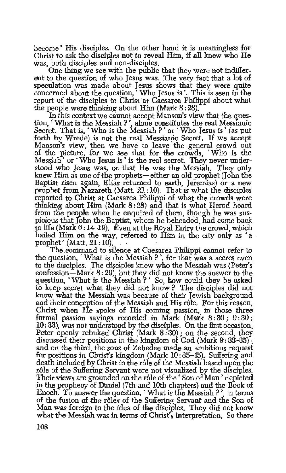become' His disciples. On the other hand it is meaningless for Christ to ask the disciples not to reveal Him, if all knew who He was, both disciples and non-disciples.

One thing we see with the public that they were not indifferent to the question of who Jesus was. The very fact that a lot of speculation was made about Jesus shows that they were quite concerned about the question, 'Who Jesus is'. This is seen in the report of the disciples to Christ at Caesarea Philippi about what the people were thinking about Him (Mark 8 : 28).

In this context we cannot accept Manson's view that the question,' What is the Messiah?', alone constitutes the real Messianic Secret. That is, 'Who *is* the M-essiah ? ' or ' Who Jesus is' (as put forth by Wrede) is not the real Messianic Secret. If we accept Manson's view, then we have to leave the general crowd out of the picture, for we see that for the crowds, ' Who is the Messiah<sup>\*</sup> or 'Who Jesus is' is the real secret. They never understood who Jesus was, or. that He was the Messiah. They only knew Him as one of the prophets-either an old prophet (John the Baptist risen again, Elias returned to earth, Jeremias) or a new prophet from Nazareth  $(Matt. 21:10)$ . That is what the disciples reported to Christ at Caesarea Philippi of what the crowds were thinking about Him· (Mark 8: 28) and that is what Herod heard from the people when he enquired of them, though he was suspicious that John the Baptist, whom he beheaded, had come back to life (Mark  $6:14-16$ ). Even at the Royal Entry the crowd, which hailed Him on the way, referred to Him in the city only as 'a . prophet' (Matt.  $21:10$ ).

The.command to silence at Caesarea Philippi cannot refer to the question, 'What is the Messiah ?', for that was a secret even to the disciples. The disciples knew who the Messiah was (Peter's confession-Mark 8: 29), but they did not know the answer to the question, ' What is the Messiah ?' So, how could they be asked to keep secret what they did not know? The disciples did not know what the Messiah was because of their Jewish background Christ when He spoke of His coming passion, in those three formal passion sayings- recorded in Mark (Mark 8: SO ; 9: 30 ; 10: 33), was not understood by the disciples. On the first occasion, Peter openly rebuked Christ (Mark 8:30); on the second, they discussed their positions in the kingdom of God (Mark 9:33-35). and on the third, the sons of Zebedee made an ambitious request for positions in Christ's kingdom (Mark  $10:35-45$ ). Suffering and death included by Christ in the role of the Messiah based upon the rôle of the Suffering Servant were not visualized by the disciples. Their views are grounded on the rôle of the 'Son of Man' depicted in the prophecy of Daniel (7th and 10th chapters) and the Book of Enoch. To answer the question, 'What is the Messiah  $?$ ', in terms of the fusion of the roles of the Suffering Servant and. the Son of Man was foreign to the idea of the disciples. They did not know what the Messiah was in terms of Christ's interpretation. So there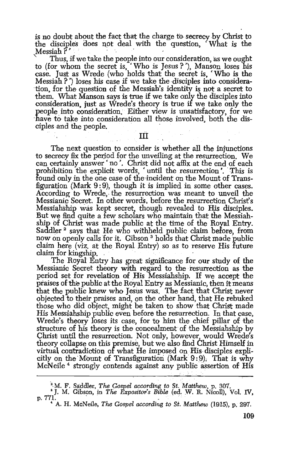is no doubt about the fact that the charge to secrecy by Christ to<br>the disciples does not deal with the question. What is the the disciples does not deal with the question, Messiah ?

Thus, if we take the people into our consideration, as we ought to (for whom the secret is, 'Who is Jesus?'), Manson loses his case. Just as Wrede (who holds that the secret is, 'Who is the Messiah ?') loses his case if we take the disciples into consideration, for the question of the Messiah's identity is not a secret to them. What Manson says is true if we take only the disciples into consideration, just as Wrede's theory is true if we take only the people into consideration. Either view is unsatisfactory, for we have to take into consideration all those involved, both the disciples and the people. **THE SET I** 

The next question to consider is whether all the injunctions to secrecy fix the period for the unveiling at the resurrection. We can certainly answer' no'. Christ did not affix at the end of each prohibition the explicit words, 'until the resurrection'. This is found only in the one case of the·incident on the Mount of Transfiguration (Mark 9: 9), though it is implied in some other cases. According to Wrede, the resurrection was meant to unveil the Messianic Secret. In other words, before the resurrection Christ's Messiahship was kept secret, though revealed to His disciples. But we find quite a few scholars who maintain that the Messiahship of Christ was made public at the time of the Royal Entry. Saddler<sup>2</sup> says that He who withheld public claim before, from now on openly calls for it. Gibson <sup>3</sup> holds that Christ made public claim here (viz. at the Royal Entry) so as to reserve His future claim for kingship.

The Royal'Entry bas great significance for our study of the Messianic Secret theory with regard to the resurrection as the period set for revelation of His Messiahship. If we accept the praises of the public at the Royal Entry as Messianic, then it means that the public knew who Jesus was. The fact that Christ never objected to their praises and, on the other hand, that He rebuked those who did object, might be taken to show that Christ made His Messiahsbip public even before the resurrection. In that case, Wrede's theory loses its case, for to him the chief pillar of the structure of his theory is the concealment of the Messiahship by Christ until the resurrection. Not only, however, would Wrede's theory collapse on this premise, but we also find Lhrist Himself in virtual contradiction of what He imposed on His disciples explicitly on the Mount of Transfiguration (Mark  $9:9$ ). That is why McNeile<sup> $4$ </sup> strongly contends against any public assertion of His  $\mathcal{L}$  ,  $\mathcal{L}_{\mathcal{U}}$  ,  $\mathcal{L}_{\mathcal{U}}$  ,  $\mathcal{L}_{\mathcal{U}}$ 

.  $\mathcal{L}^{\mathcal{L}}$  is a set of the set of the set of the set of the set of the set of the set of the set of the set of the set of the set of the set of the set of the set of the set of the set of the set of the set of the

<sup>&</sup>lt;sup>2</sup> M. F. Saddler, *The Gospel according to St. Matthew*, p. 307.<br><sup>8</sup> J. M. Gibson, in *The Expositor's Bible* (ed. W. R. Nicoll), Vol. IV, p. 771.

<sup>&</sup>lt;sup>4</sup> A. H. McNeile, *The Gospel according to St. Matthew* (1915), p. 297.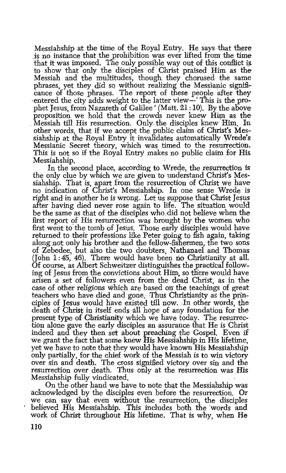Messiahship at the time of the Royal Entry. He says that there is no instance that the prohibition was ever lifted from the time that it was imposed. The only possible way out of this conflict is. to show that only the disciples of Christ praised Him as the Messiah and the multitudes, though they chorused the same phrases, yet they did so without realizing the Messianic significance of those phrases. The report of these people after they ·entered the city adds weight to the latter view-' This is the prophet Jesus, from Nazareth of Galilee' (Matt. 21:10). By the above<br>proposition we hold that the crowds never knew Him as the Messiah till His resurrection. Only the disciples knew Him. In other words, that if we accept the \_public claim of Christ's Mes.- siahship at the Royal Entry it invalidates automatically Wrede's Messianic Secret theory, which was timed *to* the resurrection. This is not so if the Royal Entry makes no public claim for His Messiahship.

In the second place, according to Wrede, the resurrection is the only clue by which we are given to understand Christ's. Messiahship. That is, apart from the resurrection of Christ we have no indication of Christ's Messiahship. In one sense Wrede is right and in another he is wrong. Let us suppose that Christ Jesus after having died never rose again to life. The situation would be the same as that of the disciples who did not believe when the first report of His resurrection was brought by the women who first went to the tomb of Jesus. Those earty disciples would have returned to their professions like Peter going to fish again, taking along not only his brother and the fellow-fishermen, the two sons of Zebedee, but also the two doubters, Nathanael and Thomas (John  $1:45, 46$ ). There would have been no Christianity at all. Of course, as Albert Schweitzer distinguishes the \_practical following of Jesus from the convictions about Him~ so there would have arisen a set of followers even from the dead Christ, as in the case of other religions which are based on the teachings of great teachers who have died and gone. Thus Christianity as. the principles of Jesus would have existed till now. In other words, the death of Christ in itself ends all hope of any foundation for the present type of Christianity which we have today. The resurrection alone gave the early disciples an assurance that He is Christ indeed and they then set about preaching the Gospel. Even if we-grant the fact that some knew His Messiahship in His lifetime, yet we have to note that they would have known His Messiahship only partially, for the chief work of the Messiah is to win victory over sin and death. The cross signified victory over sin and the resurrection over death. Thus only at the resurrection was His Messiahship fully vindicated.

On the other hand we have to note that the Messiahship was acknowledged by the disciples even before the resurrection. Or we can say that even without the resurrection, the disciples believed His Messiahship. This includes both the words and work of Christ throughout His lifetime. That is why, when He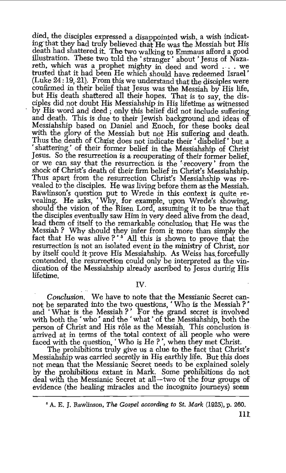died, the disciples expressed a disappointed wish, a wish indicating that they had truly believed that He was the Messiah but His death had shattered it. The two walking to Emmaus afford a good illustration. These two told the 'stranger' about 'Jesus of Naza-<br>reth, which was a prophet mighty in deed and word ... we trusted that it had been He whlch should have. redeemed Israel '  $(Luke 24:19.21)$ . From this we understand that the disciples were confirmed in their belief that Jesus was the Messiah by His life, but His death shattered all their- hopes. That is to say, the disciples did not doubt His Messiahship in His lifetime as witnessed by His·word and deed; only this belief did not include suffering and death. This is due to their Jewish background and ideas of Messiahship based on Daniel and Enoch, for these books deal with the glory of the Messiah but not His suffering and death. Thus the death of Christ does not indicate their 'disbelief' but a shattering' of their former belief in the Messiahship of Christ Jesus. So the resurrection is a recuperating of their former belief, or we can say that the resurrection is the 'recovery' from the shock of Christ's death of their firm belief in Christ's Messiahship. Thus apart from the resurrection Christ's Messiahship was revealed to the disciples. He was living before them as the Messiah. Rawlinson's question put to Wrede in this context is quite revealing. He asks, 'Why, for example, upon Wrede's showing, should the vision of the Risen Lord, assuming it to be true that the disciples eventually saw Him in very deed alive from the dead, lead them of itself to the remarkable conclusion that He was the Messiah *?* Why should they infer from it more than simply the fact that He was alive ?<sup>\*\*</sup> All this is shown to prove that the resurrection is not an isolated event in the ministry of Christ, nor by itself could it prove His Messiahship. As Weiss has forcefully contended, the resurrection could only be interpreted as the vindication of the Messiahship already ascribed to Jesus during His lifetime.

#### IV.

Conclusion. We have to note that the Messianic Secret cannot be separated into the two questions, : Who is the Messiah *?* ' and 'What is the Messiah?' For the grand secret is involved with both the 'who' and the 'what' of the Messiahship, both the person of Christ and His rôle as the Messiah. This conclusion is arrived at in terms of the total context of all people who were faced with the question, 'Who is He *?* ', when they met Qhrist.

The prohibitions truly give us a clue to the fact that Christ's Messiahship was carried secretly in His earthly life. But this does not mean that the Messianic Secret needs to be explained solely by the prohibitions extant in Mark. Some prohibitions do not deal with the Messianic Secret at all-two of the four groups of evidence (the healing miracles and the incognito journeys) seem

<sup>•</sup> A. E. J. Rawlinson, *The Gospel according to St. Mark* (1925), p. 260.